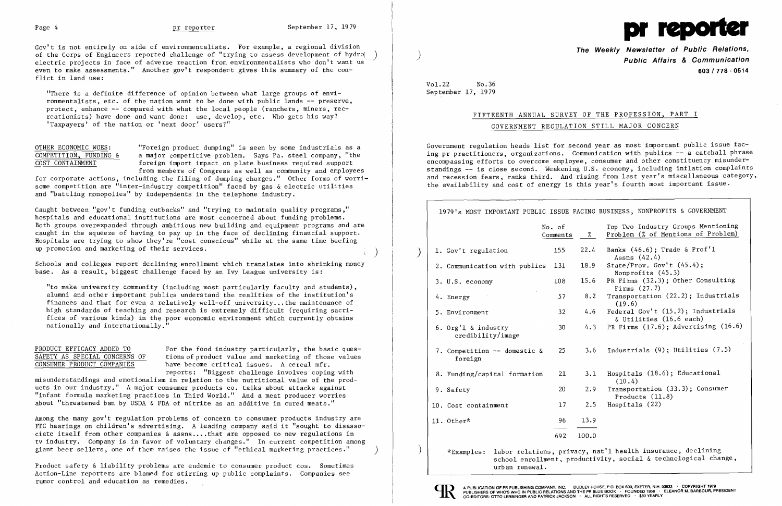Gov't is not entirely on side of environmentalists. For example, a regional division of the Corps of Engineers reported challenge of "trying to assess development of hydro() electric projects in face of adverse reaction from environmentalists who don't want us even to make assessments." Another gov't respondent gives this summary of the conflict in land use:

OTHER ECONOMIC WOES: "Foreign product dumping" is seen by some industrials as a<br>COMPETITION, FUNDING & a major competitive problem. Says Pa. steel company, "the  $\frac{\text{COMPETITION}}{\text{COST CONTAINMENT}}$  a major competitive problem. Says Pa. steel company, "the foreign import impact on plate business required support foreign import impact on plate business required support from members of Congress as well as community and employees

"There is a definite difference of opinion between what large groups of envi ronmentalists, etc. of the nation want to be done with public lands -- preserve, protect, enhance -- compared with what the local people (ranchers, miners, recreationists) have done and want done: use, develop, etc. Who gets his way? 'Taxpayers' of the nation or 'next door' users?"

Caught between "gov't funding cutbacks" and "trying to maintain quality programs ," hospitals and educational institutions are most concerned about funding problems. Both groups overexpanded through ambitious new building and equipment programs and are caught in the squeeze of having to pay up in the face of declining financial support. Hospitals are trying to show they're "cost conscious" while at the same time beefing up promotion and marketing of their services.

for corporate actions, including the filing of dumping charges." Other forms of worrisome competition are "inter-industry competition" faced by gas & electric utilities and "battling monopolies" by independents in the telephone industry.

PRODUCT EFFICACY ADDED TO For the food industry particularly, the basic ques-<br>SAFETY AS SPECIAL CONCERNS OF tions of product value and marketing of those values SAFETY AS SPECIAL CONCERNS OF tions of product value and marketing of those values<br>
CONSUMER PRODUCT COMPANIES have become critical issues. A cereal mfr. have become critical issues. A cereal mfr. reports: "Biggest challenge involves coping with

Among the many gov't regulation problems of concern to consumer products industry are FTC hearings on children's advertising. A leading company said it "sought to disassociate itself from other companies & assns .•.. that are opposed to new regulations in tv industry. Company is in favor of voluntary changes." In current competition among giant beer sellers, one of them raises the issue of "ethical marketing practices."

Schools and colleges report declining enrollment which translates into shrinking money base. As a result, biggest challenge faced by an Ivy League university is:

"to make university community (including most particularly faculty and students), alumni and other important publics understand the realities of the institution's finances and that for even a relatively well-off university ... the maintenance of high standards of teaching and research is extremely difficult (requiring sacrifices of various kinds) in the poor economic environment which currently obtains nationally and internationally."

misunderstandings and emotionalism in relation to the nutritional value of the products in our industry." A major consumer products co. talks about attacks against "infant formula marketing practices in Third World." And a meat producer worries about "threatened ban by USDA & FDA of nitrite as an additive in cured meats."

Product safety & liability problems are endemic to consumer product cos. Sometimes Action-Line reporters are blamed for stirring up public complaints. Companies see rumor control and education as remedies.



**The Weekly Newsletter of Public Relations,** ) **Public Affairs & Communication 603/778 - 0514** 

Vol.22 No.36 September 17, 1979

# FIFTEENTH ANNUAL SURVEY OF THE PROFESSION, PART I

GOVERNMENT REGULATION STILL MAJOR CONCERN

 $13.9$ FACING BUSINESS, NONPROFITS & GOVERNMENT Top Two Industry Groups Mentioning % Problem (% of Mentions of Problem) 22.4 Banks  $(46.6)$ ; Trade & Prof'l Assns (42.4) Nonprofits (45.3)  $15.6$  PR Firms  $(32.3)$ ; Other Consulting Firms  $(27.7)$  $8.2$  Transportation  $(22.2)$ ; Industrials (19.6) 4.6 Federal Gov't  $(15.2)$ ; Industrials & Utilities (16.6 each) 4.3 PR Firms  $(17.6)$ ; Advertising  $(16.6)$ 7. Competition  $--$  domestic & 25 3.6 Industrials (9); Utilities (7.5) 3.1 Hospitals (18.6); Educational (10.4) 2.9 Transportation  $(33.3)$ ; Consumer Products (11.8)  $2.5$  Hospitals  $(22)$ 100.0 racy, nat'l health insurance, declining soductivity, social & technological change,

Government regulation heads list for second year as most important public issue facing pr practitioners, organizations. Communication with publics -- a catchall phrase encompassing efforts to overcome employee, consumer and other constituency misunderstandings -- is close second. Weakening U.S. economy, including inflation complaints and recession fears, ranks third. And rising from last year's miscellaneous category, the availability and cost of energy is this year's fourth most important issue.

|                                          | No. of<br>Comments | $\frac{9}{2}$ | Top Two Industry Groups Me<br>Problem (% of Mentions of                                                             |
|------------------------------------------|--------------------|---------------|---------------------------------------------------------------------------------------------------------------------|
| 1. Gov't regulation                      | 155                | 22.4          | Banks $(46.6)$ ; Trade & Prof<br>Assns $(42.4)$                                                                     |
| 2. Communication with publics            | 131                | 18.9          | State/Prov. Gov't $(45.4)$ ;<br>Nonprofits $(45.3)$                                                                 |
| 3. U.S. economy                          | 108                | 15.6          | PR Firms $(32.3)$ ; Other Con<br>Firms $(27.7)$                                                                     |
| 4. Energy                                | 57                 | 8.2           | Transportation (22.2); Ind<br>(19.6)                                                                                |
| 5. Environment                           | 32                 | 4.6           | Federal Gov't (15.2); Indu<br>& Utilities (16.6 each)                                                               |
| 6. Org'l & industry<br>credibility/image | 30                 | 4.3           | PR Firms (17.6); Advertisi                                                                                          |
| 7. Competition -- domestic &<br>foreign  | 25                 | 3.6           | Industrials (9); Utilities                                                                                          |
| 8. Funding/capital formation             | 21                 | 3.1           | Hospitals (18.6); Educatio<br>(10.4)                                                                                |
| 9. Safety                                | 20                 | 2.9           | Transportation (33.3); Con<br>Products $(11.8)$                                                                     |
| 10. Cost containment                     | 17                 | 2.5           | Hospitals(22)                                                                                                       |
| 11. Other*                               | 96                 | 13.9          |                                                                                                                     |
|                                          | 692                | 100.0         |                                                                                                                     |
| $*$ Examples:<br>urban renewal.          |                    |               | labor relations, privacy, nat'l health insurance, declin<br>school enrollment, productivity, social & technological |



)

 $\left( \right)$